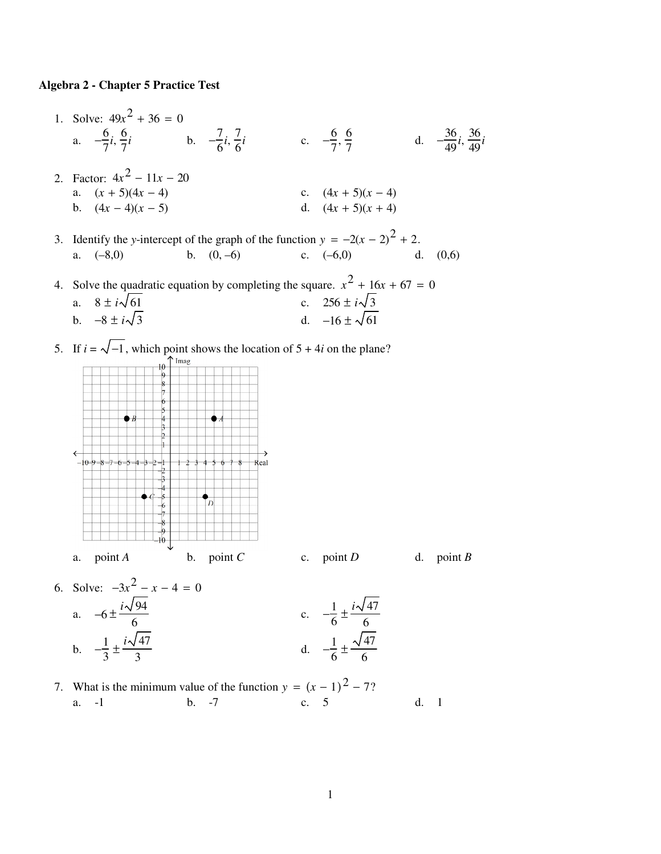## **Algebra 2 - Chapter 5 Practice Test**

- 1. Solve:  $49x^2 + 36 = 0$ a.  $-\frac{6}{7}$  $\frac{6}{7}i, \frac{6}{7}$  $\frac{6}{7}i$  b.  $-\frac{7}{6}$  $\frac{7}{6}$ *i*,  $\frac{7}{6}$  $\frac{7}{6}i$  c.  $-\frac{6}{7}$  $\frac{6}{7}, \frac{6}{7}$  $\frac{6}{7}$  d.  $-\frac{36}{49}i, \frac{36}{49}i$ 2. Factor:  $4x^2 - 11x - 20$ a.  $(x + 5)(4x - 4)$  c.  $(4x + 5)(x - 4)$ b.  $(4x-4)(x-5)$  d.  $(4x+5)(x+4)$
- 3. Identify the *y*-intercept of the graph of the function  $y = -2(x 2)^2 + 2$ . a.  $(-8,0)$  b.  $(0,-6)$  c.  $(-6,0)$  d.  $(0,6)$

4. Solve the quadratic equation by completing the square.  $x^2 + 16x + 67 = 0$ a.  $8 \pm i\sqrt{61}$ <br>
b.  $-8 \pm i\sqrt{3}$ <br>
c.  $256 \pm i\sqrt{3}$ <br>
d.  $-16 \pm \sqrt{61}$ d.  $-16 \pm \sqrt{61}$ 

5. If  $i = \sqrt{-1}$ , which point shows the location of 5 + 4*i* on the plane?



- 6. Solve:  $-3x^2 x 4 = 0$ a.  $-6 \pm \frac{i\sqrt{94}}{6}$ 6 c.  $-\frac{1}{6}$  $\frac{1}{6} \pm \frac{i \sqrt{47}}{6}$ 6 b.  $-\frac{1}{2}$  $\frac{1}{3} \pm \frac{i\sqrt{47}}{3}$ 3 d.  $-\frac{1}{6}$  $\frac{1}{6} \pm \frac{\sqrt{47}}{6}$ 6
- 7. What is the minimum value of the function  $y = (x 1)^2 7$ ? a. -1 b. -7 c. 5 d. 1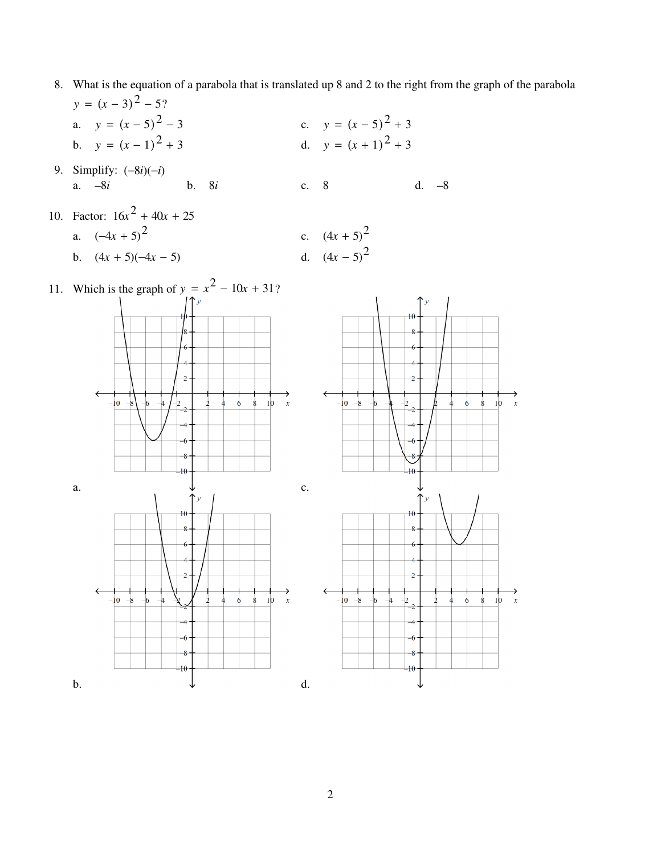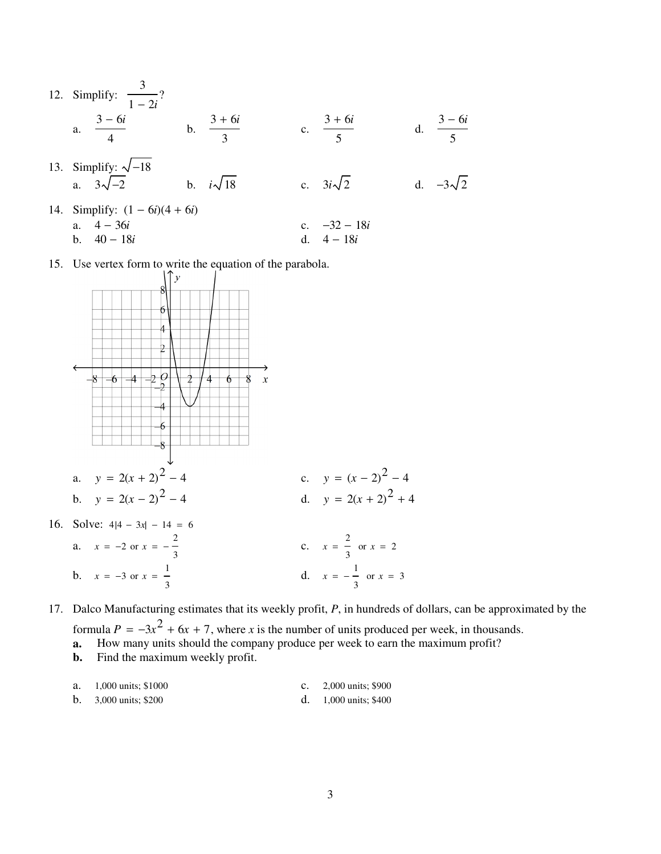- 12. Simplify: 3 1 − 2*i* ? a. 3 − 6*i* 4 b. 3 + 6*i* 3 c. 3 + 6*i* 5 d. 3 − 6*i* 5 13. Simplify:  $\sqrt{-18}$ <br>a.  $3\sqrt{-2}$ b.  $i\sqrt{18}$  c.  $3i\sqrt{2}$  d.  $-3\sqrt{2}$ 
	- 14. Simplify: (1 − 6*i*)(4 + 6*i*) a. 4 − 36*i* c. −32 − 18*i* b. 40 − 18*i* d. 4 − 18*i*
	- 15. Use vertex form to write the equation of the parabola.



17. Dalco Manufacturing estimates that its weekly profit, *P*, in hundreds of dollars, can be approximated by the

3

formula  $P = -3x^2 + 6x + 7$ , where *x* is the number of units produced per week, in thousands.

- **a.** How many units should the company produce per week to earn the maximum profit?
- **b.** Find the maximum weekly profit.

3

|  | a. $1,000 \text{ units}; $1000$ |  | c. $2,000 \text{ units}$ ; \$900 |
|--|---------------------------------|--|----------------------------------|
|--|---------------------------------|--|----------------------------------|

**b.** 3,000 units; \$200 d. 1,000 units; \$400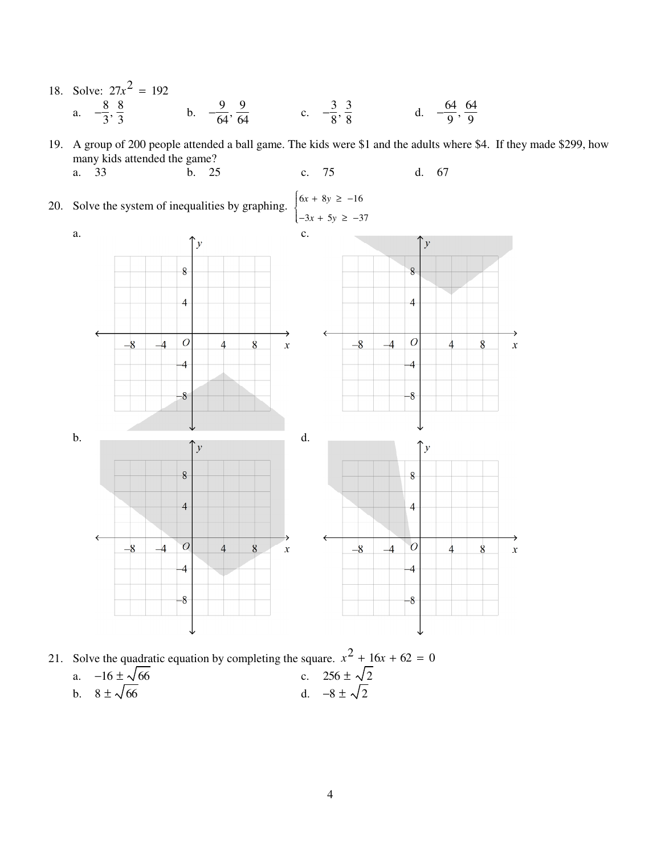18. Solve:  $27x^2 = 192$ b.  $-\frac{9}{64}, \frac{9}{64}$  c.  $-\frac{3}{8}, \frac{3}{8}$  d.  $-\frac{64}{9}, \frac{64}{9}$ a.  $-\frac{8}{3}, \frac{8}{3}$ 

19. A group of 200 people attended a ball game. The kids were \$1 and the adults where \$4. If they made \$299, how many kids attended the game? b. 25 75 d. 67 a. 33  $\mathbf{c}$ .

 $\int 6x + 8y \ge -16$ 20. Solve the system of inequalities by graphing.  $\begin{cases} -3x + 5y \ge -37 \end{cases}$ 



21. Solve the quadratic equation by completing the square.  $x^2 + 16x + 62 = 0$ c.  $256 \pm \sqrt{2}$ <br>d.  $-8 \pm \sqrt{2}$ a.  $-16 \pm \sqrt{66}$ <br>b.  $8 \pm \sqrt{66}$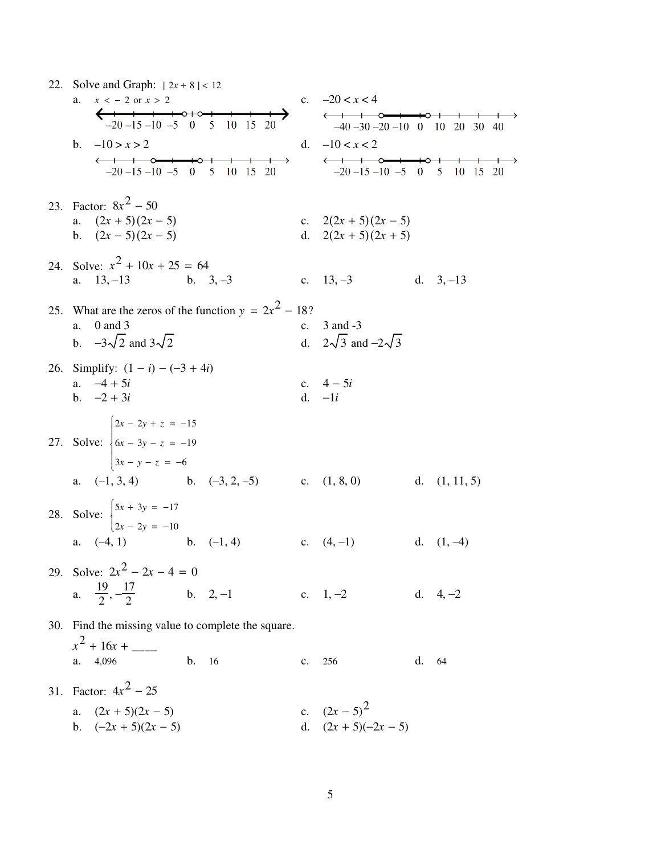| 22. Solve and Graph: $ 2x + 8  < 12$                                                             |                |                                                                                                                                     |       |                       |  |  |
|--------------------------------------------------------------------------------------------------|----------------|-------------------------------------------------------------------------------------------------------------------------------------|-------|-----------------------|--|--|
| $x < -2$ or $x > 2$<br>a.                                                                        |                | c. $-20 < x < 4$                                                                                                                    |       |                       |  |  |
| $-20 - 15 - 10 - 5$ 0 5 10 15 20                                                                 |                | $\longleftrightarrow$ $\longrightarrow$ $\longrightarrow$ $\longrightarrow$ $\longrightarrow$<br>$-40 - 30 - 20 - 10$ 0 10 20 30 40 |       |                       |  |  |
| b. $-10 > x > 2$                                                                                 |                | d. $-10 < x < 2$                                                                                                                    |       |                       |  |  |
| $\rightarrow$<br>$-20 - 15 - 10 - 5 = 0 = 5$                                                     |                | $\longleftrightarrow$<br>$-20 - 15 - 10 - 5 = 0 = 5$                                                                                |       |                       |  |  |
| 10 15<br>-20                                                                                     |                |                                                                                                                                     |       | 10<br>15<br><b>20</b> |  |  |
| 23. Factor: $8x^2 - 50$                                                                          |                |                                                                                                                                     |       |                       |  |  |
| a. $(2x + 5)(2x - 5)$                                                                            |                | c. $2(2x + 5)(2x - 5)$                                                                                                              |       |                       |  |  |
| b. $(2x-5)(2x-5)$                                                                                |                | d. $2(2x + 5)(2x + 5)$                                                                                                              |       |                       |  |  |
| 24. Solve: $x^2 + 10x + 25 = 64$                                                                 |                |                                                                                                                                     |       |                       |  |  |
| a. $13, -13$<br>b. $3, -3$                                                                       |                | c. $13, -3$ d. $3, -13$                                                                                                             |       |                       |  |  |
|                                                                                                  |                |                                                                                                                                     |       |                       |  |  |
| 25. What are the zeros of the function $y = 2x^2 - 18$ ?<br>$0$ and $3$<br>a.                    |                | c. $3$ and $-3$                                                                                                                     |       |                       |  |  |
| b. $-3\sqrt{2}$ and $3\sqrt{2}$                                                                  |                | d. $2\sqrt{3}$ and $-2\sqrt{3}$                                                                                                     |       |                       |  |  |
|                                                                                                  |                |                                                                                                                                     |       |                       |  |  |
| 26. Simplify: $(1 - i) - (-3 + 4i)$<br>a. $-4 + 5i$                                              |                | c. $4 - 5i$                                                                                                                         |       |                       |  |  |
| b. $-2 + 3i$                                                                                     |                | d. $-li$                                                                                                                            |       |                       |  |  |
|                                                                                                  |                |                                                                                                                                     |       |                       |  |  |
|                                                                                                  |                |                                                                                                                                     |       |                       |  |  |
| 27. Solve: $\begin{cases} 2x - 2y + z = -15 \\ 6x - 3y - z = -19 \\ 3x - y - z = -6 \end{cases}$ |                |                                                                                                                                     |       |                       |  |  |
|                                                                                                  |                |                                                                                                                                     |       |                       |  |  |
| a. $(-1, 3, 4)$ b. $(-3, 2, -5)$ c. $(1, 8, 0)$                                                  |                |                                                                                                                                     |       | d. $(1, 11, 5)$       |  |  |
| 28. Solve: $\begin{cases} 5x + 3y = -17 \\ 2x - 2y = -10 \end{cases}$                            |                |                                                                                                                                     |       |                       |  |  |
|                                                                                                  |                |                                                                                                                                     |       |                       |  |  |
| a. $(-4, 1)$ b. $(-1, 4)$                                                                        |                | c. $(4,-1)$ d. $(1,-4)$                                                                                                             |       |                       |  |  |
| 29. Solve: $2x^2 - 2x - 4 = 0$                                                                   |                |                                                                                                                                     |       |                       |  |  |
| a. $\frac{19}{2}, -\frac{17}{2}$ b. 2, -1                                                        |                | c. $1, -2$                                                                                                                          |       | d. $4, -2$            |  |  |
|                                                                                                  |                |                                                                                                                                     |       |                       |  |  |
| 30. Find the missing value to complete the square.                                               |                |                                                                                                                                     |       |                       |  |  |
| $x^2 + 16x +$                                                                                    |                |                                                                                                                                     |       |                       |  |  |
| $\mathbf b$ .<br>4,096<br>16<br>a.                                                               | $\mathbf{c}$ . | 256                                                                                                                                 | d. 64 |                       |  |  |
| 31. Factor: $4x^2 - 25$                                                                          |                |                                                                                                                                     |       |                       |  |  |
| $(2x + 5)(2x - 5)$<br>a.                                                                         |                | c. $(2x-5)^2$                                                                                                                       |       |                       |  |  |
| b. $(-2x + 5)(2x - 5)$                                                                           |                | d. $(2x + 5)(-2x - 5)$                                                                                                              |       |                       |  |  |